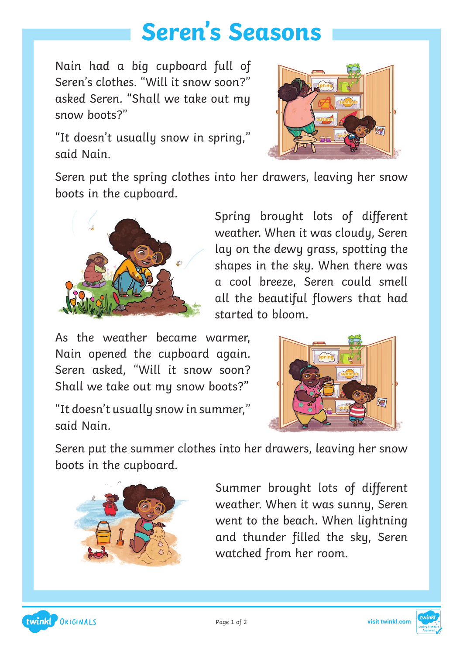## **Seren's Seasons**

Nain had a big cupboard full of Seren's clothes. "Will it snow soon?" asked Seren. "Shall we take out my snow boots?"

"It doesn't usually snow in spring," said Nain.



Seren put the spring clothes into her drawers, leaving her snow boots in the cupboard.



Spring brought lots of different weather. When it was cloudy, Seren lay on the dewy grass, spotting the shapes in the sky. When there was a cool breeze, Seren could smell all the beautiful flowers that had started to bloom.

As the weather became warmer, Nain opened the cupboard again. Seren asked, "Will it snow soon? Shall we take out my snow boots?"

"It doesn't usually snow in summer," said Nain.



Seren put the summer clothes into her drawers, leaving her snow boots in the cupboard.



Summer brought lots of different weather. When it was sunny, Seren went to the beach. When lightning and thunder filled the sky, Seren watched from her room.



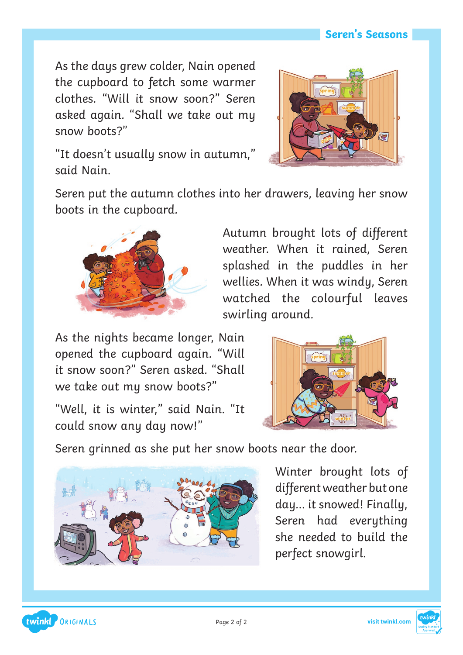#### **Seren's Seasons**

As the days grew colder, Nain opened the cupboard to fetch some warmer clothes. "Will it snow soon?" Seren asked again. "Shall we take out my snow boots?"



"It doesn't usually snow in autumn," said Nain.

Seren put the autumn clothes into her drawers, leaving her snow boots in the cupboard.



Autumn brought lots of different weather. When it rained, Seren splashed in the puddles in her wellies. When it was windy, Seren watched the colourful leaves swirling around.

As the nights became longer, Nain opened the cupboard again. "Will it snow soon?" Seren asked. "Shall we take out my snow boots?"

"Well, it is winter," said Nain. "It could snow any day now!"



Seren grinned as she put her snow boots near the door.



Winter brought lots of different weather but one day… it snowed! Finally, Seren had everything she needed to build the perfect snowgirl.

twinkl, ORIGINALS

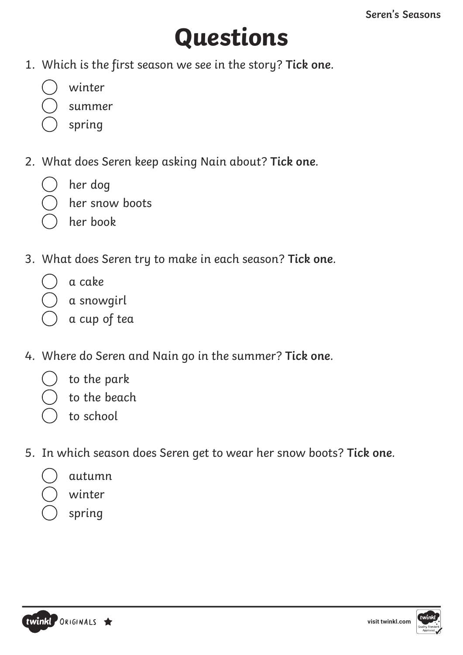# **Questions**

- 1. Which is the first season we see in the story? **Tick one**.
	- winter
	- summer
	- spring
- 2. What does Seren keep asking Nain about? **Tick one**.
	- her dog
	- her snow boots
	- her book
- 3. What does Seren try to make in each season? **Tick one**.
	- a cake
		- a snowgirl
	- a cup of tea
- 4. Where do Seren and Nain go in the summer? **Tick one**.
	- to the park
	- to the beach
	- to school
- 5. In which season does Seren get to wear her snow boots? **Tick one**.
	- autumn
	- winter
	- spring

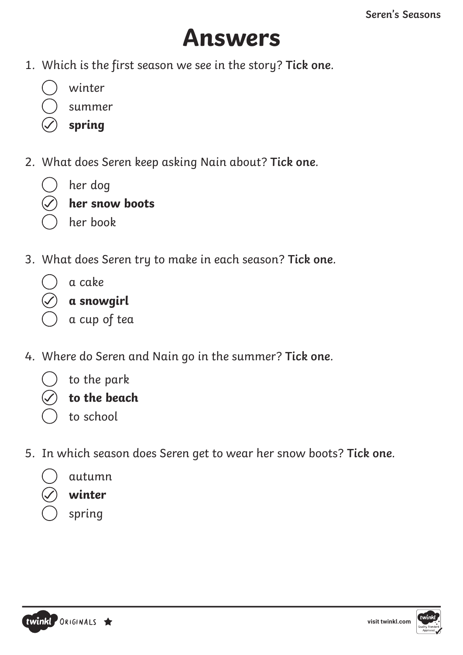#### **Answers**

- 1. Which is the first season we see in the story? **Tick one**.
	- winter
	- summer
	- **spring**
- 2. What does Seren keep asking Nain about? **Tick one**.
	- her dog
	- **her snow boots**
	- her book
- 3. What does Seren try to make in each season? **Tick one**.
	- a cake

|  | a snowgirl |  |
|--|------------|--|
|  |            |  |

- a cup of tea
- 4. Where do Seren and Nain go in the summer? **Tick one**.
	- to the park
	- **to the beach**
	- to school
- 5. In which season does Seren get to wear her snow boots? **Tick one**.
	- autumn
	- **winter**
		- spring



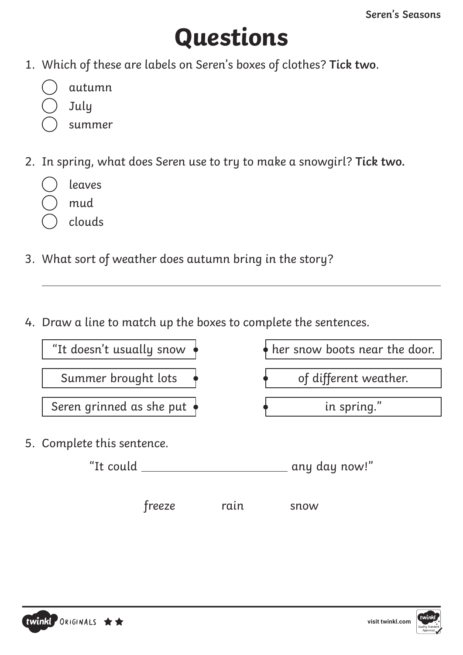# **Questions**

- 1. Which of these are labels on Seren's boxes of clothes? **Tick two**.
	- autumn
	- July
	- summer
- 2. In spring, what does Seren use to try to make a snowgirl? **Tick two.**
	- leaves
	- mud
	- clouds
- 3. What sort of weather does autumn bring in the story?
- 4. Draw a line to match up the boxes to complete the sentences.



freeze rain snow

twinkl ORIGINALS \*\*

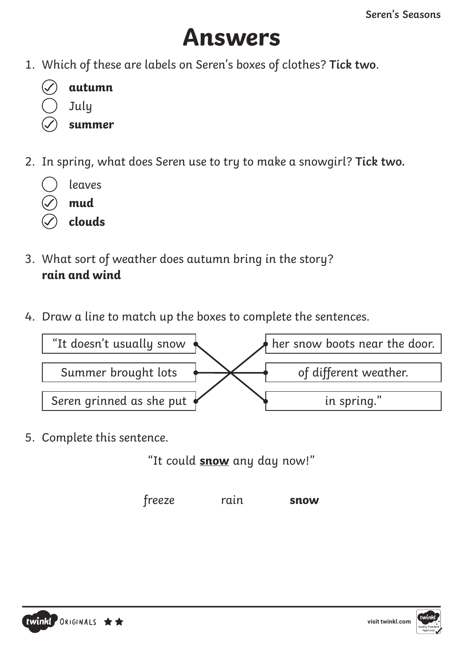## **Answers**

1. Which of these are labels on Seren's boxes of clothes? **Tick two**.

| autumn |
|--------|
| July   |

- **summer**
- 2. In spring, what does Seren use to try to make a snowgirl? **Tick two.**
	- leaves
	- **mud**
	- **clouds**
- 3. What sort of weather does autumn bring in the story? **rain and wind**
- 4. Draw a line to match up the boxes to complete the sentences.



5. Complete this sentence.

"It could **snow** any day now!"

freeze rain **snow**



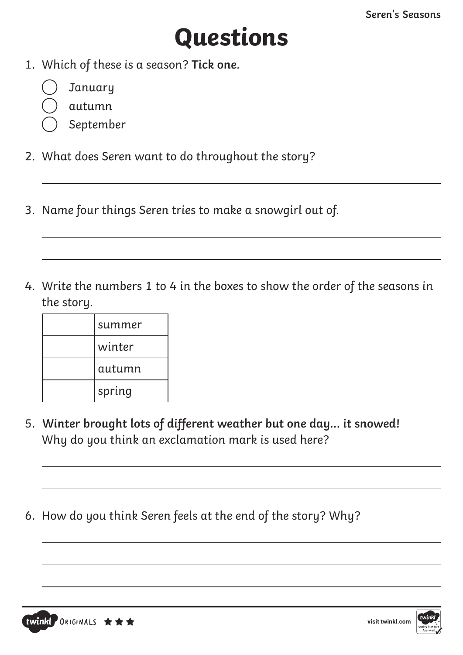## **Questions**

- 1. Which of these is a season? **Tick one**.
	- January
	- autumn
	- September
- 2. What does Seren want to do throughout the story?
- 3. Name four things Seren tries to make a snowgirl out of.
- 4. Write the numbers 1 to 4 in the boxes to show the order of the seasons in the story.

| summer |
|--------|
| winter |
| autumn |
| spring |

twinkl ORIGINALS ★★★

- 5. **Winter brought lots of different weather but one day… it snowed!** Why do you think an exclamation mark is used here?
- 6. How do you think Seren feels at the end of the story? Why?



**[visit twinkl.com](www.twinkl.co.uk/resources/ks1-twinkl-originals-key-stage-1/twinkl-educational-publishing-fiction-story-books-story-primary-resources-english-key-stage-1/serens-seasons-fiction-ks1-twinkl-originals)**